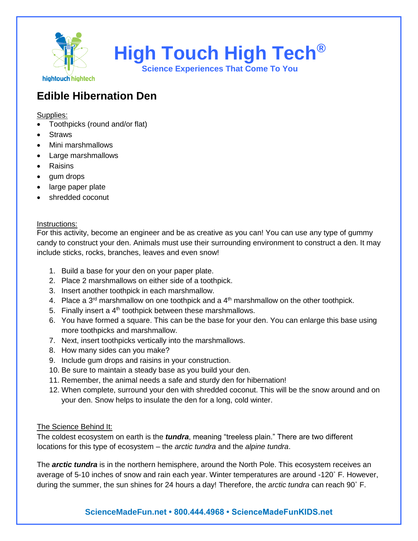

**High Touch High Tech®**

**Science Experiences That Come To You**

## **Edible Hibernation Den**

Supplies:

- Toothpicks (round and/or flat)
- **Straws**
- Mini marshmallows
- Large marshmallows
- Raisins
- gum drops
- large paper plate
- shredded coconut

## Instructions:

For this activity, become an engineer and be as creative as you can! You can use any type of gummy candy to construct your den. Animals must use their surrounding environment to construct a den. It may include sticks, rocks, branches, leaves and even snow!

- 1. Build a base for your den on your paper plate.
- 2. Place 2 marshmallows on either side of a toothpick.
- 3. Insert another toothpick in each marshmallow.
- 4. Place a  $3<sup>rd</sup>$  marshmallow on one toothpick and a  $4<sup>th</sup>$  marshmallow on the other toothpick.
- 5. Finally insert a  $4<sup>th</sup>$  toothpick between these marshmallows.
- 6. You have formed a square. This can be the base for your den. You can enlarge this base using more toothpicks and marshmallow.
- 7. Next, insert toothpicks vertically into the marshmallows.
- 8. How many sides can you make?
- 9. Include gum drops and raisins in your construction.
- 10. Be sure to maintain a steady base as you build your den.
- 11. Remember, the animal needs a safe and sturdy den for hibernation!
- 12. When complete, surround your den with shredded coconut. This will be the snow around and on your den. Snow helps to insulate the den for a long, cold winter.

## The Science Behind It:

The coldest ecosystem on earth is the *tundra*, meaning "treeless plain." There are two different locations for this type of ecosystem – the *arctic tundra* and the *alpine tundra*.

The *arctic tundra* is in the northern hemisphere, around the North Pole. This ecosystem receives an average of 5-10 inches of snow and rain each year. Winter temperatures are around -120˚ F. However, during the summer, the sun shines for 24 hours a day! Therefore, the *arctic tundra* can reach 90˚ F.

## **ScienceMadeFun.net • 800.444.4968 • ScienceMadeFunKIDS.net**